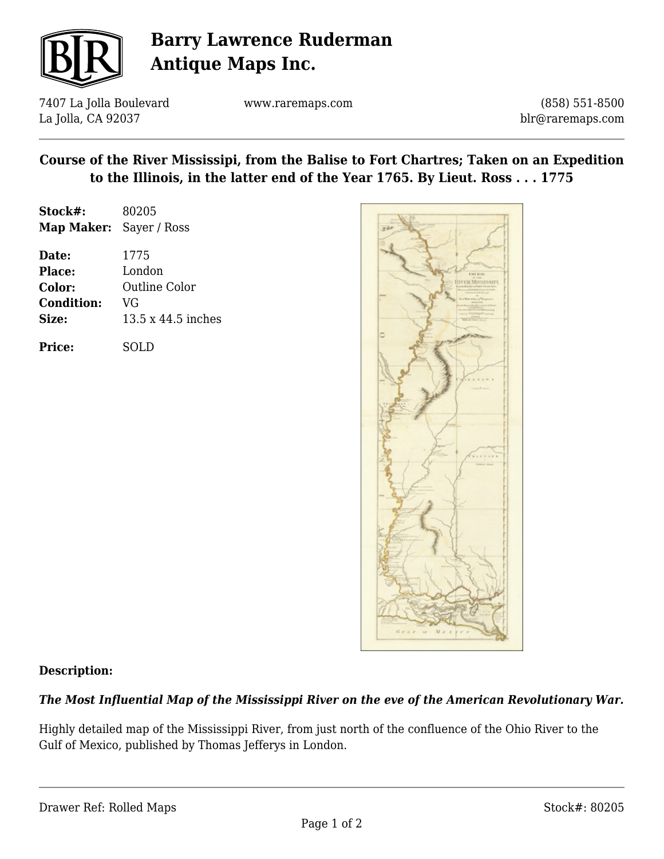

# **Barry Lawrence Ruderman Antique Maps Inc.**

7407 La Jolla Boulevard La Jolla, CA 92037

www.raremaps.com

(858) 551-8500 blr@raremaps.com

### **Course of the River Mississipi, from the Balise to Fort Chartres; Taken on an Expedition to the Illinois, in the latter end of the Year 1765. By Lieut. Ross . . . 1775**

| Stock#:                        | 80205              |
|--------------------------------|--------------------|
| <b>Map Maker:</b> Sayer / Ross |                    |
| Date:                          | 1775               |
| Place:                         | London             |
| Color:                         | Outline Color      |
| <b>Condition:</b>              | VG                 |
| Size:                          | 13.5 x 44.5 inches |
|                                |                    |

**Price:** SOLD



#### **Description:**

## *The Most Influential Map of the Mississippi River on the eve of the American Revolutionary War.*

Highly detailed map of the Mississippi River, from just north of the confluence of the Ohio River to the Gulf of Mexico, published by Thomas Jefferys in London.